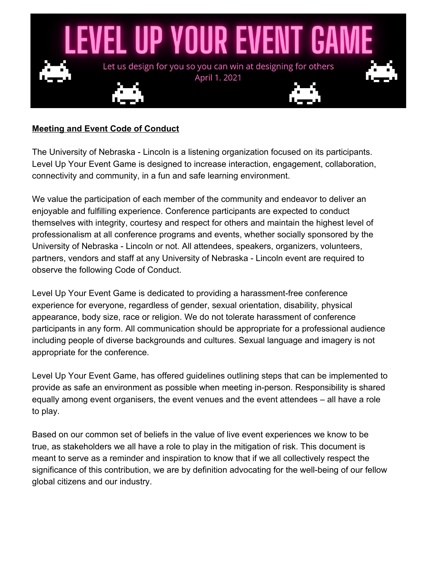

## **Meeting and Event Code of Conduct**

The University of Nebraska - Lincoln is a listening organization focused on its participants. Level Up Your Event Game is designed to increase interaction, engagement, collaboration, connectivity and community, in a fun and safe learning environment.

We value the participation of each member of the community and endeavor to deliver an enjoyable and fulfilling experience. Conference participants are expected to conduct themselves with integrity, courtesy and respect for others and maintain the highest level of professionalism at all conference programs and events, whether socially sponsored by the University of Nebraska - Lincoln or not. All attendees, speakers, organizers, volunteers, partners, vendors and staff at any University of Nebraska - Lincoln event are required to observe the following Code of Conduct.

Level Up Your Event Game is dedicated to providing a harassment-free conference experience for everyone, regardless of gender, sexual orientation, disability, physical appearance, body size, race or religion. We do not tolerate harassment of conference participants in any form. All communication should be appropriate for a professional audience including people of diverse backgrounds and cultures. Sexual language and imagery is not appropriate for the conference.

Level Up Your Event Game, has offered guidelines outlining steps that can be implemented to provide as safe an environment as possible when meeting in-person. Responsibility is shared equally among event organisers, the event venues and the event attendees – all have a role to play.

Based on our common set of beliefs in the value of live event experiences we know to be true, as stakeholders we all have a role to play in the mitigation of risk. This document is meant to serve as a reminder and inspiration to know that if we all collectively respect the significance of this contribution, we are by definition advocating for the well-being of our fellow global citizens and our industry.